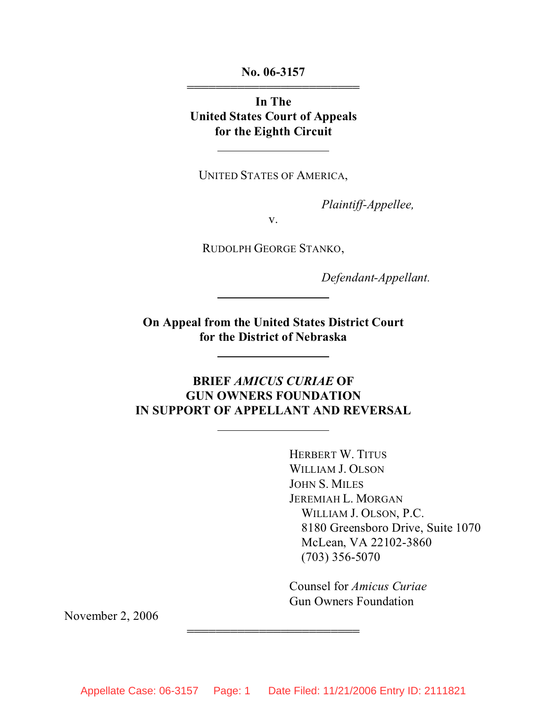**No. 06-3157** 444444444444444444444444

**In The United States Court of Appeals for the Eighth Circuit**

 $\overline{a}$ 

 $\overline{a}$ 

 $\overline{a}$ 

 $\overline{a}$ 

UNITED STATES OF AMERICA,

*Plaintiff-Appellee,*

v.

RUDOLPH GEORGE STANKO,

*Defendant-Appellant.*

**On Appeal from the United States District Court for the District of Nebraska**

# **BRIEF** *AMICUS CURIAE* **OF GUN OWNERS FOUNDATION IN SUPPORT OF APPELLANT AND REVERSAL**

HERBERT W. TITUS WILLIAM J. OLSON JOHN S. MILES JEREMIAH L. MORGAN WILLIAM J. OLSON, P.C. 8180 Greensboro Drive, Suite 1070 McLean, VA 22102-3860 (703) 356-5070

Counsel for *Amicus Curiae* Gun Owners Foundation

November 2, 2006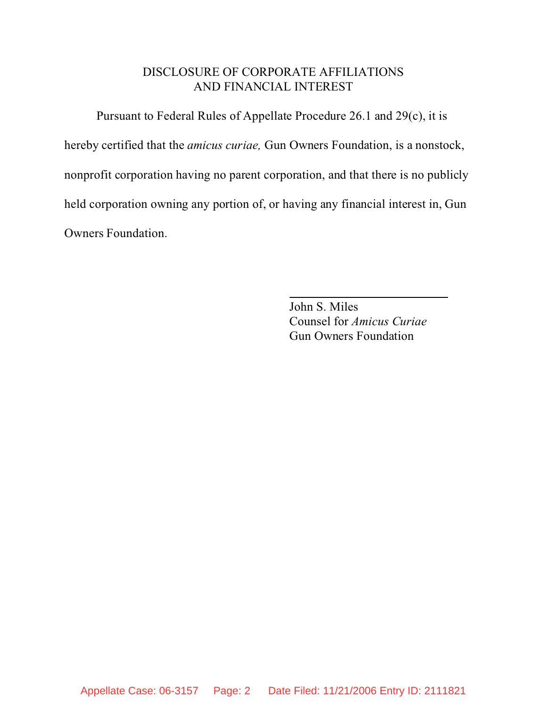### DISCLOSURE OF CORPORATE AFFILIATIONS AND FINANCIAL INTEREST

Pursuant to Federal Rules of Appellate Procedure 26.1 and 29(c), it is hereby certified that the *amicus curiae,* Gun Owners Foundation, is a nonstock, nonprofit corporation having no parent corporation, and that there is no publicly held corporation owning any portion of, or having any financial interest in, Gun Owners Foundation.

l

John S. Miles Counsel for *Amicus Curiae* Gun Owners Foundation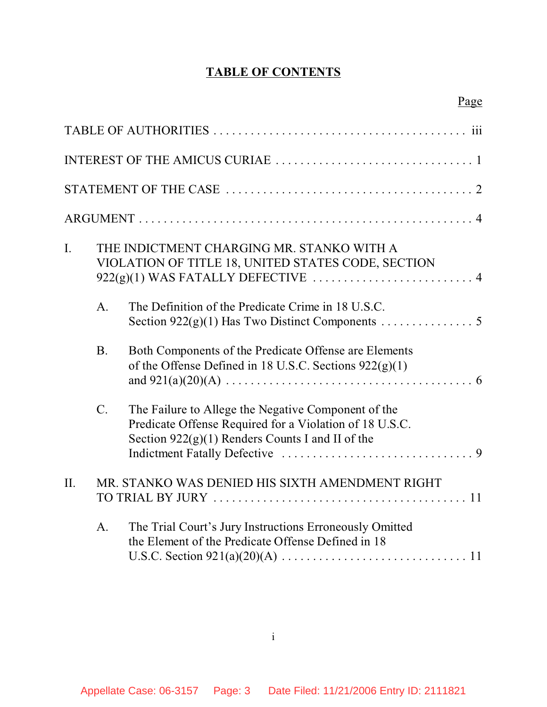# **TABLE OF CONTENTS**

| $\mathbf{I}$ . | THE INDICTMENT CHARGING MR. STANKO WITH A<br>VIOLATION OF TITLE 18, UNITED STATES CODE, SECTION |                                                                                                                                                                      |
|----------------|-------------------------------------------------------------------------------------------------|----------------------------------------------------------------------------------------------------------------------------------------------------------------------|
|                | A.                                                                                              | The Definition of the Predicate Crime in 18 U.S.C.<br>Section 922(g)(1) Has Two Distinct Components 5                                                                |
|                | <b>B.</b>                                                                                       | Both Components of the Predicate Offense are Elements<br>of the Offense Defined in 18 U.S.C. Sections $922(g)(1)$                                                    |
|                | $C_{\cdot}$                                                                                     | The Failure to Allege the Negative Component of the<br>Predicate Offense Required for a Violation of 18 U.S.C.<br>Section $922(g)(1)$ Renders Counts I and II of the |
| II.            |                                                                                                 | MR. STANKO WAS DENIED HIS SIXTH AMENDMENT RIGHT                                                                                                                      |
|                | A.                                                                                              | The Trial Court's Jury Instructions Erroneously Omitted<br>the Element of the Predicate Offense Defined in 18                                                        |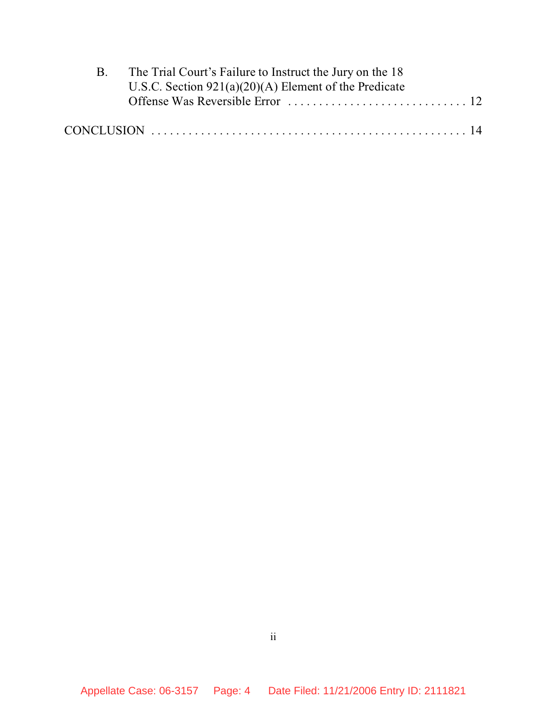| $\mathbf{B}$ | The Trial Court's Failure to Instruct the Jury on the 18 |  |  |  |
|--------------|----------------------------------------------------------|--|--|--|
|              | U.S.C. Section $921(a)(20)(A)$ Element of the Predicate  |  |  |  |
|              |                                                          |  |  |  |
|              |                                                          |  |  |  |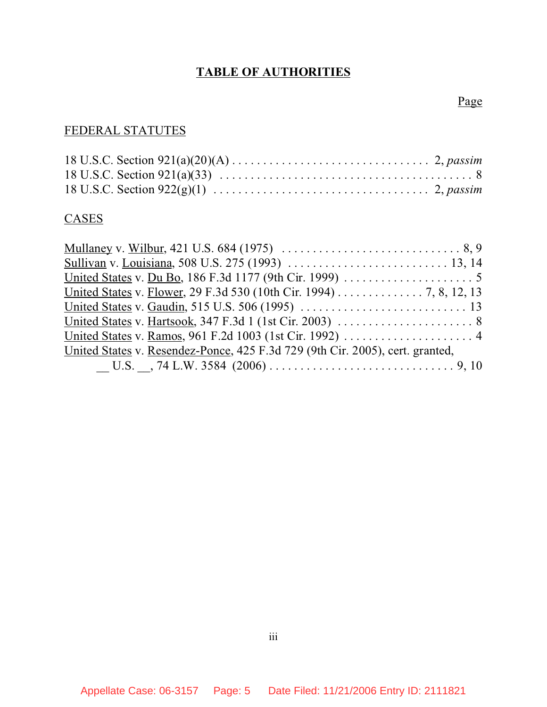# **TABLE OF AUTHORITIES**

Page

# FEDERAL STATUTES

### **CASES**

| United States v. Flower, 29 F.3d 530 (10th Cir. 1994) 7, 8, 12, 13            |
|-------------------------------------------------------------------------------|
|                                                                               |
|                                                                               |
|                                                                               |
| United States v. Resendez-Ponce, 425 F.3d 729 (9th Cir. 2005), cert. granted, |
|                                                                               |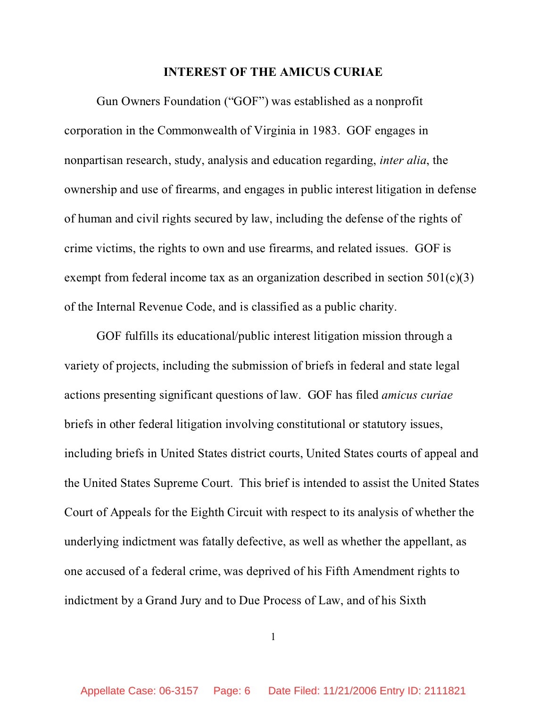#### **INTEREST OF THE AMICUS CURIAE**

Gun Owners Foundation ("GOF") was established as a nonprofit corporation in the Commonwealth of Virginia in 1983. GOF engages in nonpartisan research, study, analysis and education regarding, *inter alia*, the ownership and use of firearms, and engages in public interest litigation in defense of human and civil rights secured by law, including the defense of the rights of crime victims, the rights to own and use firearms, and related issues. GOF is exempt from federal income tax as an organization described in section  $501(c)(3)$ of the Internal Revenue Code, and is classified as a public charity.

GOF fulfills its educational/public interest litigation mission through a variety of projects, including the submission of briefs in federal and state legal actions presenting significant questions of law. GOF has filed *amicus curiae* briefs in other federal litigation involving constitutional or statutory issues, including briefs in United States district courts, United States courts of appeal and the United States Supreme Court. This brief is intended to assist the United States Court of Appeals for the Eighth Circuit with respect to its analysis of whether the underlying indictment was fatally defective, as well as whether the appellant, as one accused of a federal crime, was deprived of his Fifth Amendment rights to indictment by a Grand Jury and to Due Process of Law, and of his Sixth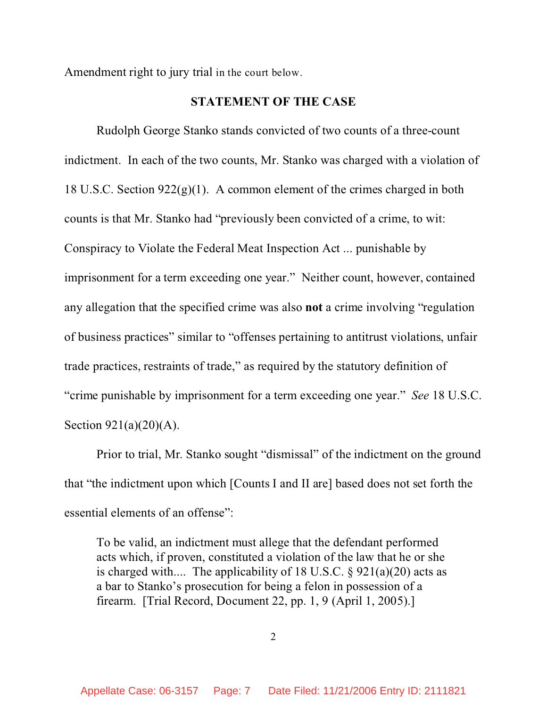Amendment right to jury trial in the court below.

#### **STATEMENT OF THE CASE**

Rudolph George Stanko stands convicted of two counts of a three-count indictment. In each of the two counts, Mr. Stanko was charged with a violation of 18 U.S.C. Section  $922(g)(1)$ . A common element of the crimes charged in both counts is that Mr. Stanko had "previously been convicted of a crime, to wit: Conspiracy to Violate the Federal Meat Inspection Act ... punishable by imprisonment for a term exceeding one year." Neither count, however, contained any allegation that the specified crime was also **not** a crime involving "regulation of business practices" similar to "offenses pertaining to antitrust violations, unfair trade practices, restraints of trade," as required by the statutory definition of "crime punishable by imprisonment for a term exceeding one year." *See* 18 U.S.C. Section 921(a)(20)(A).

Prior to trial, Mr. Stanko sought "dismissal" of the indictment on the ground that "the indictment upon which [Counts I and II are] based does not set forth the essential elements of an offense":

To be valid, an indictment must allege that the defendant performed acts which, if proven, constituted a violation of the law that he or she is charged with.... The applicability of 18 U.S.C.  $\S$  921(a)(20) acts as a bar to Stanko's prosecution for being a felon in possession of a firearm. [Trial Record, Document 22, pp. 1, 9 (April 1, 2005).]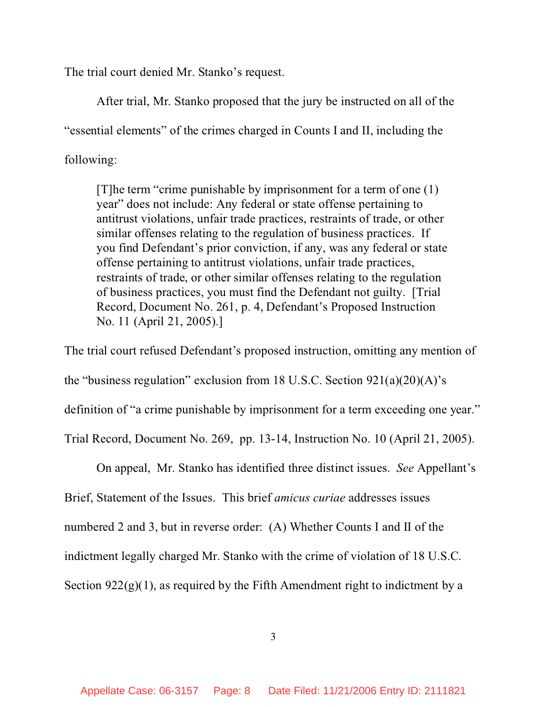The trial court denied Mr. Stanko's request.

After trial, Mr. Stanko proposed that the jury be instructed on all of the "essential elements" of the crimes charged in Counts I and II, including the following:

[T]he term "crime punishable by imprisonment for a term of one (1) year" does not include: Any federal or state offense pertaining to antitrust violations, unfair trade practices, restraints of trade, or other similar offenses relating to the regulation of business practices. If you find Defendant's prior conviction, if any, was any federal or state offense pertaining to antitrust violations, unfair trade practices, restraints of trade, or other similar offenses relating to the regulation of business practices, you must find the Defendant not guilty. [Trial Record, Document No. 261, p. 4, Defendant's Proposed Instruction No. 11 (April 21, 2005).]

The trial court refused Defendant's proposed instruction, omitting any mention of the "business regulation" exclusion from 18 U.S.C. Section  $921(a)(20)(A)$ 's definition of "a crime punishable by imprisonment for a term exceeding one year." Trial Record, Document No. 269, pp. 13-14, Instruction No. 10 (April 21, 2005).

On appeal, Mr. Stanko has identified three distinct issues. *See* Appellant's Brief, Statement of the Issues. This brief *amicus curiae* addresses issues numbered 2 and 3, but in reverse order: (A) Whether Counts I and II of the indictment legally charged Mr. Stanko with the crime of violation of 18 U.S.C. Section  $922(g)(1)$ , as required by the Fifth Amendment right to indictment by a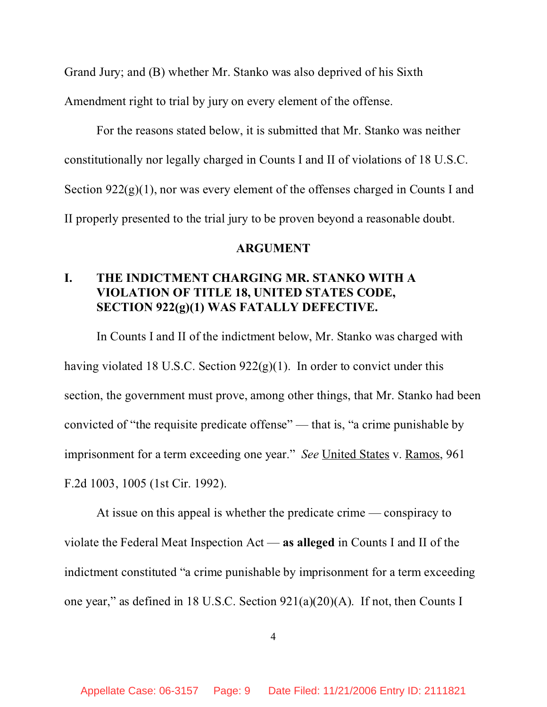Grand Jury; and (B) whether Mr. Stanko was also deprived of his Sixth

Amendment right to trial by jury on every element of the offense.

For the reasons stated below, it is submitted that Mr. Stanko was neither constitutionally nor legally charged in Counts I and II of violations of 18 U.S.C. Section  $922(g)(1)$ , nor was every element of the offenses charged in Counts I and II properly presented to the trial jury to be proven beyond a reasonable doubt.

#### **ARGUMENT**

# **I. THE INDICTMENT CHARGING MR. STANKO WITH A VIOLATION OF TITLE 18, UNITED STATES CODE, SECTION 922(g)(1) WAS FATALLY DEFECTIVE.**

In Counts I and II of the indictment below, Mr. Stanko was charged with having violated 18 U.S.C. Section  $922(g)(1)$ . In order to convict under this section, the government must prove, among other things, that Mr. Stanko had been convicted of "the requisite predicate offense" — that is, "a crime punishable by imprisonment for a term exceeding one year." *See* United States v. Ramos, 961 F.2d 1003, 1005 (1st Cir. 1992).

At issue on this appeal is whether the predicate crime — conspiracy to violate the Federal Meat Inspection Act — **as alleged** in Counts I and II of the indictment constituted "a crime punishable by imprisonment for a term exceeding one year," as defined in 18 U.S.C. Section 921(a)(20)(A). If not, then Counts I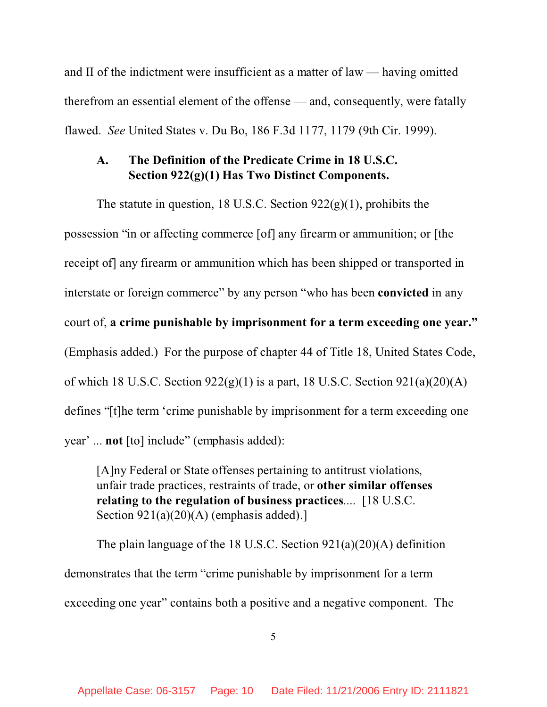and II of the indictment were insufficient as a matter of law — having omitted therefrom an essential element of the offense — and, consequently, were fatally flawed. *See* United States v. Du Bo, 186 F.3d 1177, 1179 (9th Cir. 1999).

## **A. The Definition of the Predicate Crime in 18 U.S.C. Section 922(g)(1) Has Two Distinct Components.**

The statute in question, 18 U.S.C. Section 922(g)(1), prohibits the possession "in or affecting commerce [of] any firearm or ammunition; or [the receipt of] any firearm or ammunition which has been shipped or transported in interstate or foreign commerce" by any person "who has been **convicted** in any court of, **a crime punishable by imprisonment for a term exceeding one year."**  (Emphasis added.) For the purpose of chapter 44 of Title 18, United States Code, of which 18 U.S.C. Section  $922(g)(1)$  is a part, 18 U.S.C. Section  $921(a)(20)(A)$ defines "[t]he term 'crime punishable by imprisonment for a term exceeding one year' ... **not** [to] include" (emphasis added):

[A]ny Federal or State offenses pertaining to antitrust violations, unfair trade practices, restraints of trade, or **other similar offenses relating to the regulation of business practices**.... [18 U.S.C. Section  $921(a)(20)(A)$  (emphasis added).]

The plain language of the 18 U.S.C. Section 921(a)(20)(A) definition demonstrates that the term "crime punishable by imprisonment for a term exceeding one year" contains both a positive and a negative component. The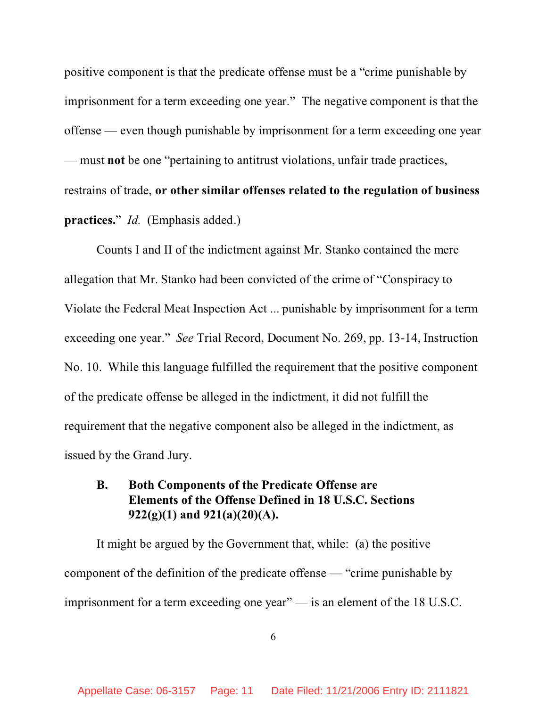positive component is that the predicate offense must be a "crime punishable by imprisonment for a term exceeding one year." The negative component is that the offense — even though punishable by imprisonment for a term exceeding one year — must **not** be one "pertaining to antitrust violations, unfair trade practices, restrains of trade, **or other similar offenses related to the regulation of business practices.**" *Id.* (Emphasis added.)

Counts I and II of the indictment against Mr. Stanko contained the mere allegation that Mr. Stanko had been convicted of the crime of "Conspiracy to Violate the Federal Meat Inspection Act ... punishable by imprisonment for a term exceeding one year." *See* Trial Record, Document No. 269, pp. 13-14, Instruction No. 10. While this language fulfilled the requirement that the positive component of the predicate offense be alleged in the indictment, it did not fulfill the requirement that the negative component also be alleged in the indictment, as issued by the Grand Jury.

## **B. Both Components of the Predicate Offense are Elements of the Offense Defined in 18 U.S.C. Sections 922(g)(1) and 921(a)(20)(A).**

It might be argued by the Government that, while: (a) the positive component of the definition of the predicate offense — "crime punishable by imprisonment for a term exceeding one year" — is an element of the 18 U.S.C.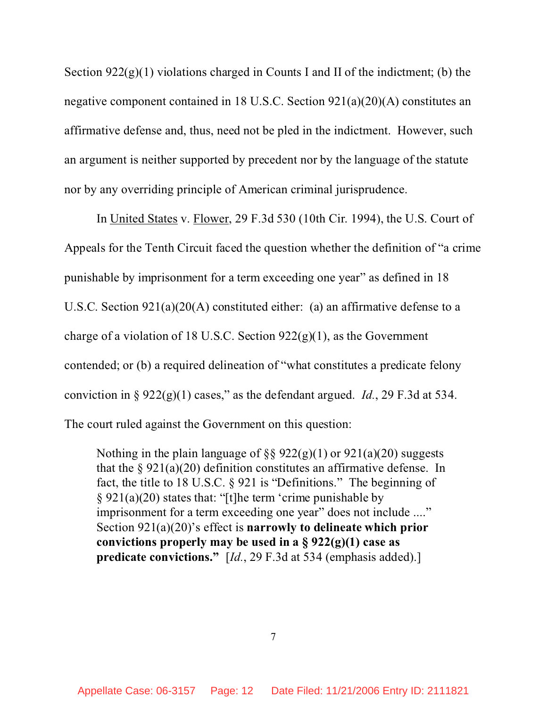Section  $922(g)(1)$  violations charged in Counts I and II of the indictment; (b) the negative component contained in 18 U.S.C. Section 921(a)(20)(A) constitutes an affirmative defense and, thus, need not be pled in the indictment. However, such an argument is neither supported by precedent nor by the language of the statute nor by any overriding principle of American criminal jurisprudence.

In United States v. Flower, 29 F.3d 530 (10th Cir. 1994), the U.S. Court of Appeals for the Tenth Circuit faced the question whether the definition of "a crime punishable by imprisonment for a term exceeding one year" as defined in 18 U.S.C. Section 921(a)(20(A) constituted either: (a) an affirmative defense to a charge of a violation of 18 U.S.C. Section  $922(g)(1)$ , as the Government contended; or (b) a required delineation of "what constitutes a predicate felony conviction in §  $922(g)(1)$  cases," as the defendant argued. *Id.*, 29 F.3d at 534. The court ruled against the Government on this question:

Nothing in the plain language of  $\S$ § 922(g)(1) or 921(a)(20) suggests that the  $\S 921(a)(20)$  definition constitutes an affirmative defense. In fact, the title to 18 U.S.C. § 921 is "Definitions." The beginning of § 921(a)(20) states that: "[t]he term 'crime punishable by imprisonment for a term exceeding one year" does not include ...." Section 921(a)(20)'s effect is **narrowly to delineate which prior convictions properly may be used in a § 922(g)(1) case as predicate convictions."** [*Id.*, 29 F.3d at 534 (emphasis added).]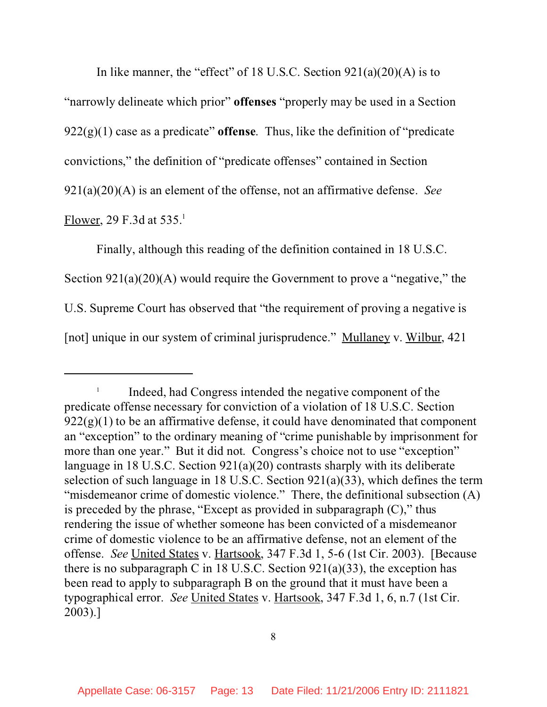In like manner, the "effect" of 18 U.S.C. Section  $921(a)(20)(A)$  is to "narrowly delineate which prior" **offenses** "properly may be used in a Section 922(g)(1) case as a predicate" **offense**. Thus, like the definition of "predicate convictions," the definition of "predicate offenses" contained in Section 921(a)(20)(A) is an element of the offense, not an affirmative defense. *See* Flower, 29 F.3d at  $535<sup>1</sup>$ 

Finally, although this reading of the definition contained in 18 U.S.C. Section  $921(a)(20)(A)$  would require the Government to prove a "negative," the U.S. Supreme Court has observed that "the requirement of proving a negative is [not] unique in our system of criminal jurisprudence." Mullaney v. Wilbur, 421

<sup>1</sup> Indeed, had Congress intended the negative component of the predicate offense necessary for conviction of a violation of 18 U.S.C. Section  $922(g)(1)$  to be an affirmative defense, it could have denominated that component an "exception" to the ordinary meaning of "crime punishable by imprisonment for more than one year." But it did not. Congress's choice not to use "exception" language in 18 U.S.C. Section 921(a)(20) contrasts sharply with its deliberate selection of such language in 18 U.S.C. Section  $921(a)(33)$ , which defines the term "misdemeanor crime of domestic violence." There, the definitional subsection (A) is preceded by the phrase, "Except as provided in subparagraph  $(C)$ ," thus rendering the issue of whether someone has been convicted of a misdemeanor crime of domestic violence to be an affirmative defense, not an element of the offense. *See* United States v. Hartsook, 347 F.3d 1, 5-6 (1st Cir. 2003). [Because there is no subparagraph C in 18 U.S.C. Section  $921(a)(33)$ , the exception has been read to apply to subparagraph B on the ground that it must have been a typographical error. *See* United States v. Hartsook, 347 F.3d 1, 6, n.7 (1st Cir. 2003).]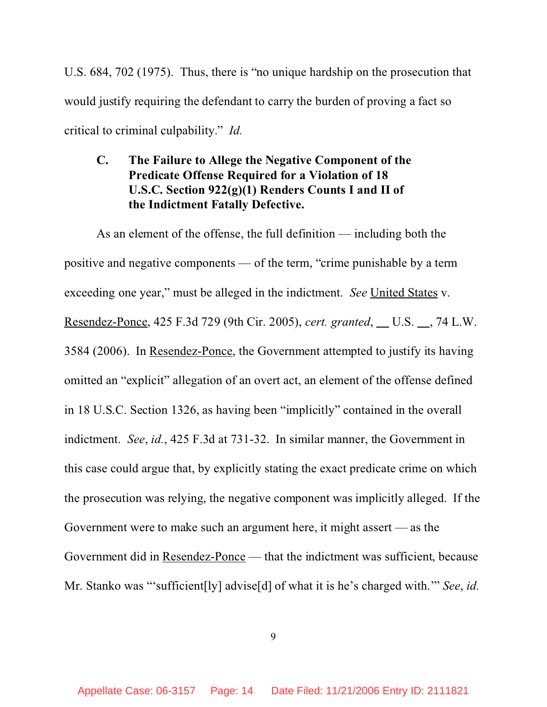U.S. 684, 702 (1975). Thus, there is "no unique hardship on the prosecution that would justify requiring the defendant to carry the burden of proving a fact so critical to criminal culpability." *Id.*

# **C. The Failure to Allege the Negative Component of the Predicate Offense Required for a Violation of 18 U.S.C. Section 922(g)(1) Renders Counts I and II of the Indictment Fatally Defective.**

As an element of the offense, the full definition — including both the positive and negative components — of the term, "crime punishable by a term exceeding one year," must be alleged in the indictment. *See* United States v. <u>Resendez-Ponce</u>, 425 F.3d 729 (9th Cir. 2005), *cert. granted*, U.S. , 74 L.W. 3584 (2006). In Resendez-Ponce, the Government attempted to justify its having omitted an "explicit" allegation of an overt act, an element of the offense defined in 18 U.S.C. Section 1326, as having been "implicitly" contained in the overall indictment. *See*, *id.*, 425 F.3d at 731-32. In similar manner, the Government in this case could argue that, by explicitly stating the exact predicate crime on which the prosecution was relying, the negative component was implicitly alleged. If the Government were to make such an argument here, it might assert — as the Government did in Resendez-Ponce — that the indictment was sufficient, because Mr. Stanko was "'sufficient[ly] advise[d] of what it is he's charged with.'" *See*, *id.*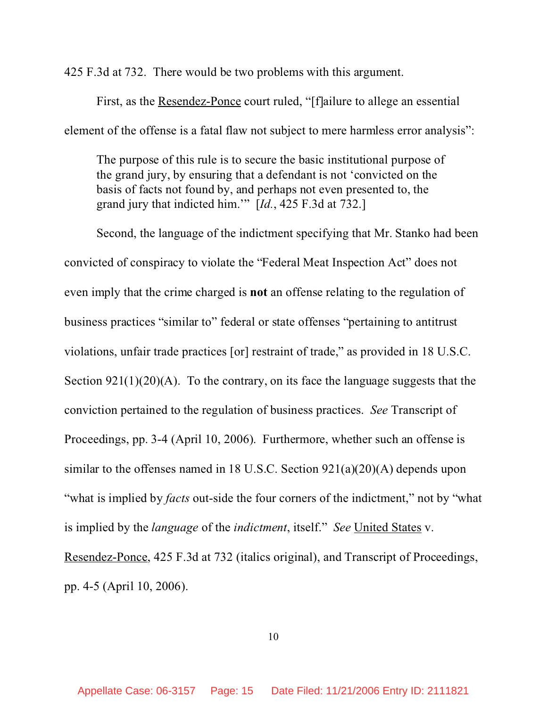425 F.3d at 732. There would be two problems with this argument.

First, as the Resendez-Ponce court ruled, "[f]ailure to allege an essential element of the offense is a fatal flaw not subject to mere harmless error analysis":

The purpose of this rule is to secure the basic institutional purpose of the grand jury, by ensuring that a defendant is not 'convicted on the basis of facts not found by, and perhaps not even presented to, the grand jury that indicted him.'" [*Id.*, 425 F.3d at 732.]

Second, the language of the indictment specifying that Mr. Stanko had been convicted of conspiracy to violate the "Federal Meat Inspection Act" does not even imply that the crime charged is **not** an offense relating to the regulation of business practices "similar to" federal or state offenses "pertaining to antitrust violations, unfair trade practices [or] restraint of trade," as provided in 18 U.S.C. Section 921(1)(20)(A). To the contrary, on its face the language suggests that the conviction pertained to the regulation of business practices. *See* Transcript of Proceedings, pp. 3-4 (April 10, 2006). Furthermore, whether such an offense is similar to the offenses named in 18 U.S.C. Section 921(a)(20)(A) depends upon "what is implied by *facts* out-side the four corners of the indictment," not by "what is implied by the *language* of the *indictment*, itself." *See* United States v. Resendez-Ponce, 425 F.3d at 732 (italics original), and Transcript of Proceedings, pp. 4-5 (April 10, 2006).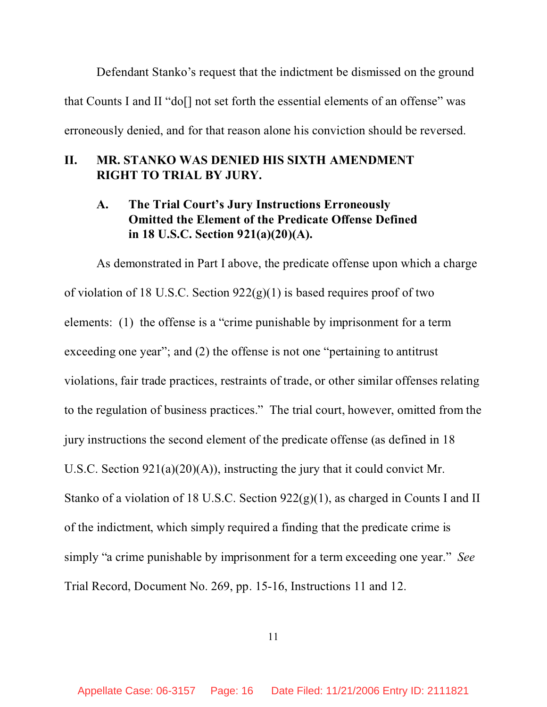Defendant Stanko's request that the indictment be dismissed on the ground that Counts I and II "do[] not set forth the essential elements of an offense" was erroneously denied, and for that reason alone his conviction should be reversed.

# **II. MR. STANKO WAS DENIED HIS SIXTH AMENDMENT RIGHT TO TRIAL BY JURY.**

## **A. The Trial Court's Jury Instructions Erroneously Omitted the Element of the Predicate Offense Defined in 18 U.S.C. Section 921(a)(20)(A).**

As demonstrated in Part I above, the predicate offense upon which a charge of violation of 18 U.S.C. Section  $922(g)(1)$  is based requires proof of two elements: (1) the offense is a "crime punishable by imprisonment for a term exceeding one year"; and (2) the offense is not one "pertaining to antitrust violations, fair trade practices, restraints of trade, or other similar offenses relating to the regulation of business practices." The trial court, however, omitted from the jury instructions the second element of the predicate offense (as defined in 18 U.S.C. Section 921(a)(20)(A)), instructing the jury that it could convict Mr. Stanko of a violation of 18 U.S.C. Section 922(g)(1), as charged in Counts I and II of the indictment, which simply required a finding that the predicate crime is simply "a crime punishable by imprisonment for a term exceeding one year." *See* Trial Record, Document No. 269, pp. 15-16, Instructions 11 and 12.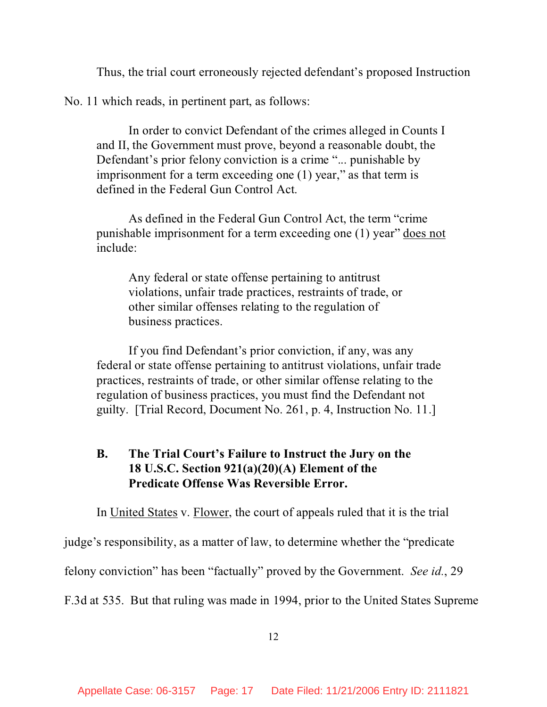Thus, the trial court erroneously rejected defendant's proposed Instruction

No. 11 which reads, in pertinent part, as follows:

In order to convict Defendant of the crimes alleged in Counts I and II, the Government must prove, beyond a reasonable doubt, the Defendant's prior felony conviction is a crime "... punishable by imprisonment for a term exceeding one (1) year," as that term is defined in the Federal Gun Control Act.

As defined in the Federal Gun Control Act, the term "crime punishable imprisonment for a term exceeding one (1) year" does not include:

Any federal or state offense pertaining to antitrust violations, unfair trade practices, restraints of trade, or other similar offenses relating to the regulation of business practices.

If you find Defendant's prior conviction, if any, was any federal or state offense pertaining to antitrust violations, unfair trade practices, restraints of trade, or other similar offense relating to the regulation of business practices, you must find the Defendant not guilty. [Trial Record, Document No. 261, p. 4, Instruction No. 11.]

## **B. The Trial Court's Failure to Instruct the Jury on the 18 U.S.C. Section 921(a)(20)(A) Element of the Predicate Offense Was Reversible Error.**

In United States v. Flower, the court of appeals ruled that it is the trial

judge's responsibility, as a matter of law, to determine whether the "predicate

felony conviction" has been "factually" proved by the Government. *See id.*, 29

F.3d at 535. But that ruling was made in 1994, prior to the United States Supreme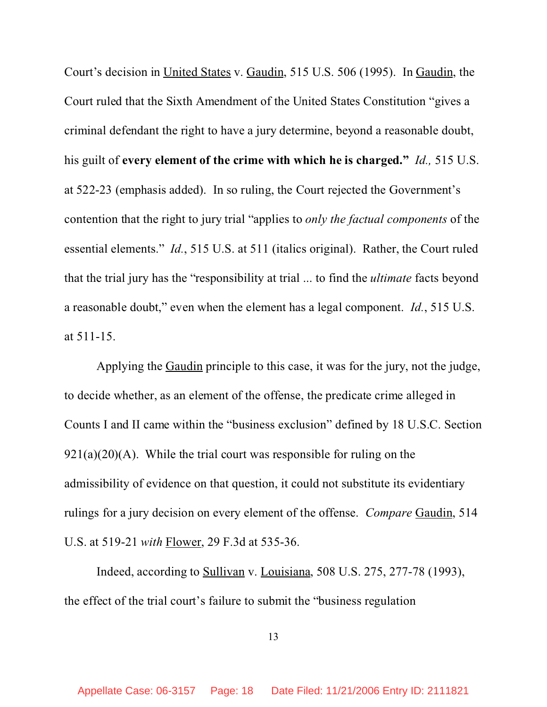Court's decision in United States v. Gaudin, 515 U.S. 506 (1995). In Gaudin, the Court ruled that the Sixth Amendment of the United States Constitution "gives a criminal defendant the right to have a jury determine, beyond a reasonable doubt, his guilt of **every element of the crime with which he is charged."** *Id.,* 515 U.S. at 522-23 (emphasis added). In so ruling, the Court rejected the Government's contention that the right to jury trial "applies to *only the factual components* of the essential elements." *Id.*, 515 U.S. at 511 (italics original). Rather, the Court ruled that the trial jury has the "responsibility at trial ... to find the *ultimate* facts beyond a reasonable doubt," even when the element has a legal component. *Id.*, 515 U.S. at 511-15.

Applying the Gaudin principle to this case, it was for the jury, not the judge, to decide whether, as an element of the offense, the predicate crime alleged in Counts I and II came within the "business exclusion" defined by 18 U.S.C. Section  $921(a)(20)(A)$ . While the trial court was responsible for ruling on the admissibility of evidence on that question, it could not substitute its evidentiary rulings for a jury decision on every element of the offense. *Compare* Gaudin, 514 U.S. at 519-21 *with* Flower, 29 F.3d at 535-36.

Indeed, according to Sullivan v. Louisiana, 508 U.S. 275, 277-78 (1993), the effect of the trial court's failure to submit the "business regulation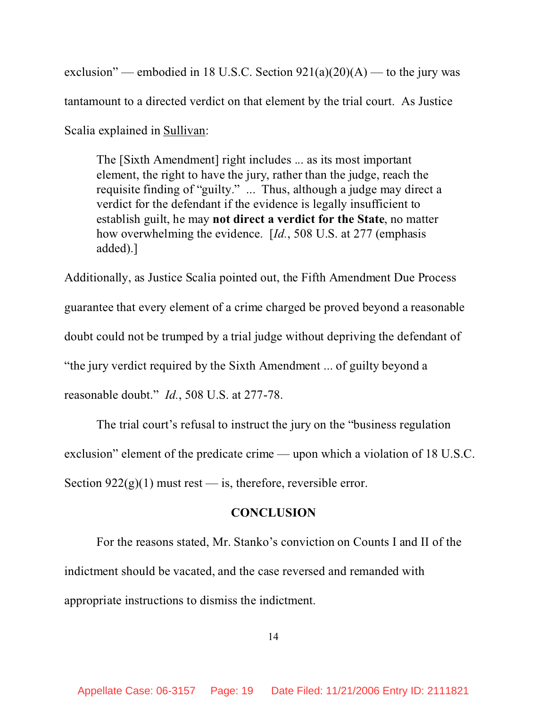exclusion" — embodied in 18 U.S.C. Section  $921(a)(20)(A)$  — to the jury was tantamount to a directed verdict on that element by the trial court. As Justice Scalia explained in Sullivan:

The [Sixth Amendment] right includes ... as its most important element, the right to have the jury, rather than the judge, reach the requisite finding of "guilty." ... Thus, although a judge may direct a verdict for the defendant if the evidence is legally insufficient to establish guilt, he may **not direct a verdict for the State**, no matter how overwhelming the evidence. [*Id.*, 508 U.S. at 277 (emphasis added).]

Additionally, as Justice Scalia pointed out, the Fifth Amendment Due Process guarantee that every element of a crime charged be proved beyond a reasonable doubt could not be trumped by a trial judge without depriving the defendant of "the jury verdict required by the Sixth Amendment ... of guilty beyond a reasonable doubt." *Id.*, 508 U.S. at 277-78.

The trial court's refusal to instruct the jury on the "business regulation exclusion" element of the predicate crime — upon which a violation of 18 U.S.C. Section  $922(g)(1)$  must rest — is, therefore, reversible error.

#### **CONCLUSION**

For the reasons stated, Mr. Stanko's conviction on Counts I and II of the indictment should be vacated, and the case reversed and remanded with appropriate instructions to dismiss the indictment.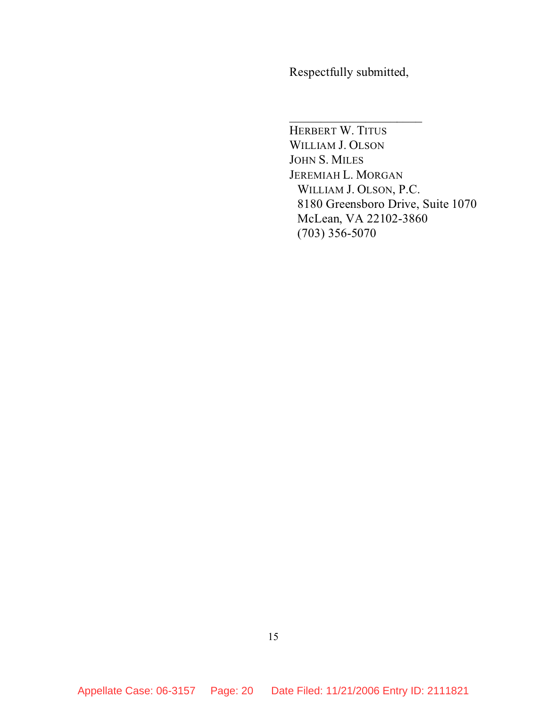Respectfully submitted,

 $\overline{\phantom{a}}$  , where  $\overline{\phantom{a}}$ 

HERBERT W. TITUS WILLIAM J. OLSON JOHN S. MILES JEREMIAH L. MORGAN WILLIAM J. OLSON, P.C. 8180 Greensboro Drive, Suite 1070 McLean, VA 22102-3860 (703) 356-5070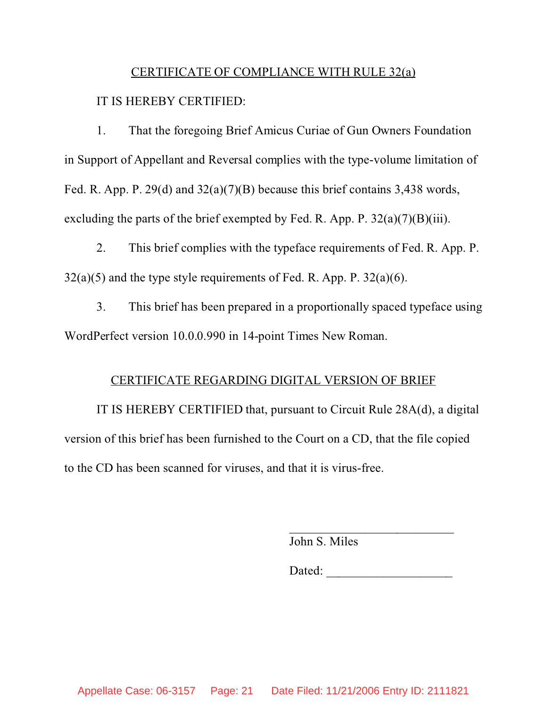#### CERTIFICATE OF COMPLIANCE WITH RULE 32(a)

#### IT IS HEREBY CERTIFIED:

1. That the foregoing Brief Amicus Curiae of Gun Owners Foundation in Support of Appellant and Reversal complies with the type-volume limitation of Fed. R. App. P. 29(d) and 32(a)(7)(B) because this brief contains 3,438 words, excluding the parts of the brief exempted by Fed. R. App. P.  $32(a)(7)(B)(iii)$ .

2. This brief complies with the typeface requirements of Fed. R. App. P.  $32(a)(5)$  and the type style requirements of Fed. R. App. P.  $32(a)(6)$ .

3. This brief has been prepared in a proportionally spaced typeface using WordPerfect version 10.0.0.990 in 14-point Times New Roman.

#### CERTIFICATE REGARDING DIGITAL VERSION OF BRIEF

IT IS HEREBY CERTIFIED that, pursuant to Circuit Rule 28A(d), a digital version of this brief has been furnished to the Court on a CD, that the file copied to the CD has been scanned for viruses, and that it is virus-free.

John S. Miles

Dated: \_\_\_\_\_\_\_\_\_\_\_\_\_\_\_\_\_\_\_\_

 $\mathcal{L}_\text{max}$  and  $\mathcal{L}_\text{max}$  and  $\mathcal{L}_\text{max}$